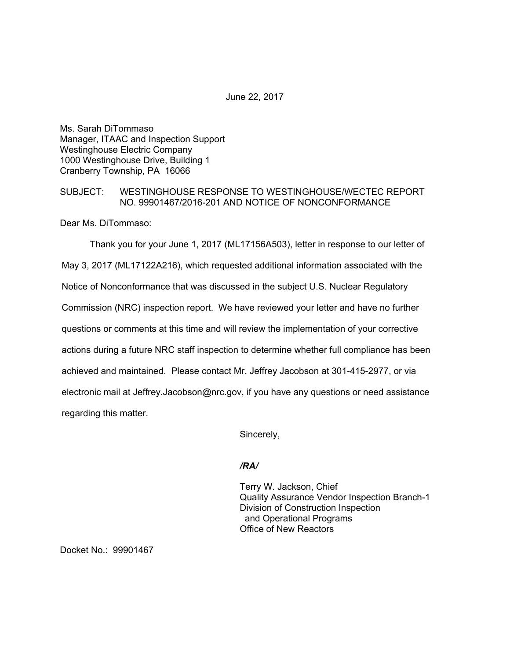June 22, 2017

Ms. Sarah DiTommaso Manager, ITAAC and Inspection Support Westinghouse Electric Company 1000 Westinghouse Drive, Building 1 Cranberry Township, PA 16066

## SUBJECT: WESTINGHOUSE RESPONSE TO WESTINGHOUSE/WECTEC REPORT NO. 99901467/2016-201 AND NOTICE OF NONCONFORMANCE

Dear Ms. DiTommaso:

Thank you for your June 1, 2017 (ML17156A503), letter in response to our letter of May 3, 2017 (ML17122A216), which requested additional information associated with the Notice of Nonconformance that was discussed in the subject U.S. Nuclear Regulatory Commission (NRC) inspection report. We have reviewed your letter and have no further questions or comments at this time and will review the implementation of your corrective actions during a future NRC staff inspection to determine whether full compliance has been achieved and maintained. Please contact Mr. Jeffrey Jacobson at 301-415-2977, or via electronic mail at Jeffrey.Jacobson@nrc.gov, if you have any questions or need assistance regarding this matter.

Sincerely,

## */RA/*

Terry W. Jackson, Chief Quality Assurance Vendor Inspection Branch-1 Division of Construction Inspection and Operational Programs Office of New Reactors

Docket No.: 99901467